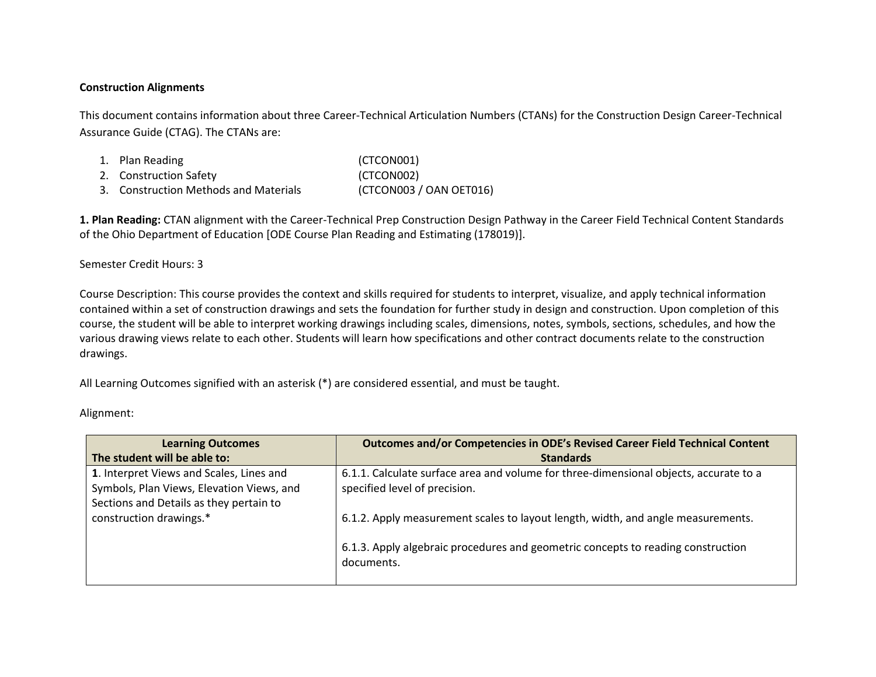## **Construction Alignments**

This document contains information about three Career-Technical Articulation Numbers (CTANs) for the Construction Design Career-Technical Assurance Guide (CTAG). The CTANs are:

1. Plan Reading (CTCON001) 2. Construction Safety (CTCON002) 3. Construction Methods and Materials (CTCON003 / OAN OET016)

**1. Plan Reading:** CTAN alignment with the Career-Technical Prep Construction Design Pathway in the Career Field Technical Content Standards of the Ohio Department of Education [ODE Course Plan Reading and Estimating (178019)].

Semester Credit Hours: 3

Course Description: This course provides the context and skills required for students to interpret, visualize, and apply technical information contained within a set of construction drawings and sets the foundation for further study in design and construction. Upon completion of this course, the student will be able to interpret working drawings including scales, dimensions, notes, symbols, sections, schedules, and how the various drawing views relate to each other. Students will learn how specifications and other contract documents relate to the construction drawings.

All Learning Outcomes signified with an asterisk (\*) are considered essential, and must be taught.

Alignment:

| <b>Learning Outcomes</b><br>The student will be able to:                                                                         | Outcomes and/or Competencies in ODE's Revised Career Field Technical Content<br><b>Standards</b>                                                                                   |
|----------------------------------------------------------------------------------------------------------------------------------|------------------------------------------------------------------------------------------------------------------------------------------------------------------------------------|
| 1. Interpret Views and Scales, Lines and<br>Symbols, Plan Views, Elevation Views, and<br>Sections and Details as they pertain to | 6.1.1. Calculate surface area and volume for three-dimensional objects, accurate to a<br>specified level of precision.                                                             |
| construction drawings.*                                                                                                          | 6.1.2. Apply measurement scales to layout length, width, and angle measurements.<br>6.1.3. Apply algebraic procedures and geometric concepts to reading construction<br>documents. |
|                                                                                                                                  |                                                                                                                                                                                    |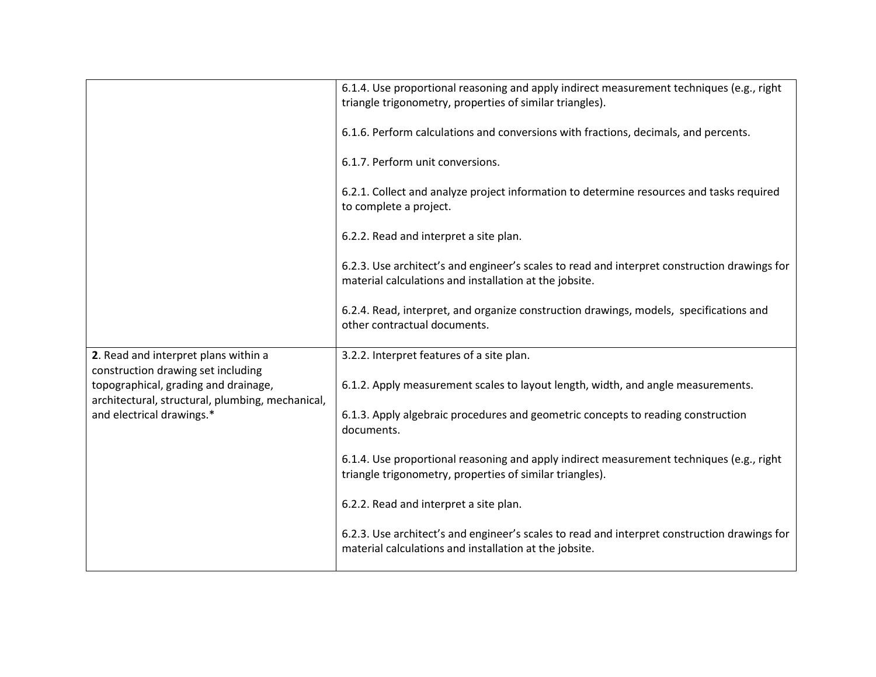|                                                                                          | 6.1.4. Use proportional reasoning and apply indirect measurement techniques (e.g., right<br>triangle trigonometry, properties of similar triangles).   |
|------------------------------------------------------------------------------------------|--------------------------------------------------------------------------------------------------------------------------------------------------------|
|                                                                                          | 6.1.6. Perform calculations and conversions with fractions, decimals, and percents.                                                                    |
|                                                                                          | 6.1.7. Perform unit conversions.                                                                                                                       |
|                                                                                          | 6.2.1. Collect and analyze project information to determine resources and tasks required<br>to complete a project.                                     |
|                                                                                          | 6.2.2. Read and interpret a site plan.                                                                                                                 |
|                                                                                          | 6.2.3. Use architect's and engineer's scales to read and interpret construction drawings for<br>material calculations and installation at the jobsite. |
|                                                                                          | 6.2.4. Read, interpret, and organize construction drawings, models, specifications and<br>other contractual documents.                                 |
| 2. Read and interpret plans within a<br>construction drawing set including               | 3.2.2. Interpret features of a site plan.                                                                                                              |
| topographical, grading and drainage,<br>architectural, structural, plumbing, mechanical, | 6.1.2. Apply measurement scales to layout length, width, and angle measurements.                                                                       |
| and electrical drawings.*                                                                | 6.1.3. Apply algebraic procedures and geometric concepts to reading construction<br>documents.                                                         |
|                                                                                          | 6.1.4. Use proportional reasoning and apply indirect measurement techniques (e.g., right<br>triangle trigonometry, properties of similar triangles).   |
|                                                                                          | 6.2.2. Read and interpret a site plan.                                                                                                                 |
|                                                                                          | 6.2.3. Use architect's and engineer's scales to read and interpret construction drawings for<br>material calculations and installation at the jobsite. |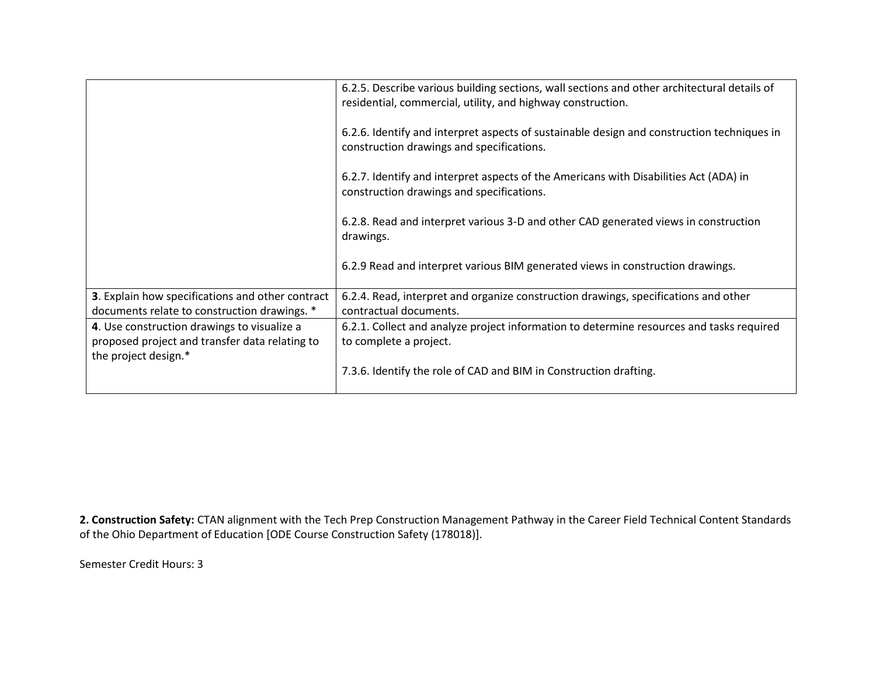|                                                                                                  | 6.2.5. Describe various building sections, wall sections and other architectural details of<br>residential, commercial, utility, and highway construction. |
|--------------------------------------------------------------------------------------------------|------------------------------------------------------------------------------------------------------------------------------------------------------------|
|                                                                                                  | 6.2.6. Identify and interpret aspects of sustainable design and construction techniques in<br>construction drawings and specifications.                    |
|                                                                                                  | 6.2.7. Identify and interpret aspects of the Americans with Disabilities Act (ADA) in<br>construction drawings and specifications.                         |
|                                                                                                  | 6.2.8. Read and interpret various 3-D and other CAD generated views in construction<br>drawings.                                                           |
|                                                                                                  | 6.2.9 Read and interpret various BIM generated views in construction drawings.                                                                             |
| 3. Explain how specifications and other contract<br>documents relate to construction drawings. * | 6.2.4. Read, interpret and organize construction drawings, specifications and other<br>contractual documents.                                              |
| 4. Use construction drawings to visualize a<br>proposed project and transfer data relating to    | 6.2.1. Collect and analyze project information to determine resources and tasks required<br>to complete a project.                                         |
| the project design.*                                                                             | 7.3.6. Identify the role of CAD and BIM in Construction drafting.                                                                                          |

**2. Construction Safety:** CTAN alignment with the Tech Prep Construction Management Pathway in the Career Field Technical Content Standards of the Ohio Department of Education [ODE Course Construction Safety (178018)].

Semester Credit Hours: 3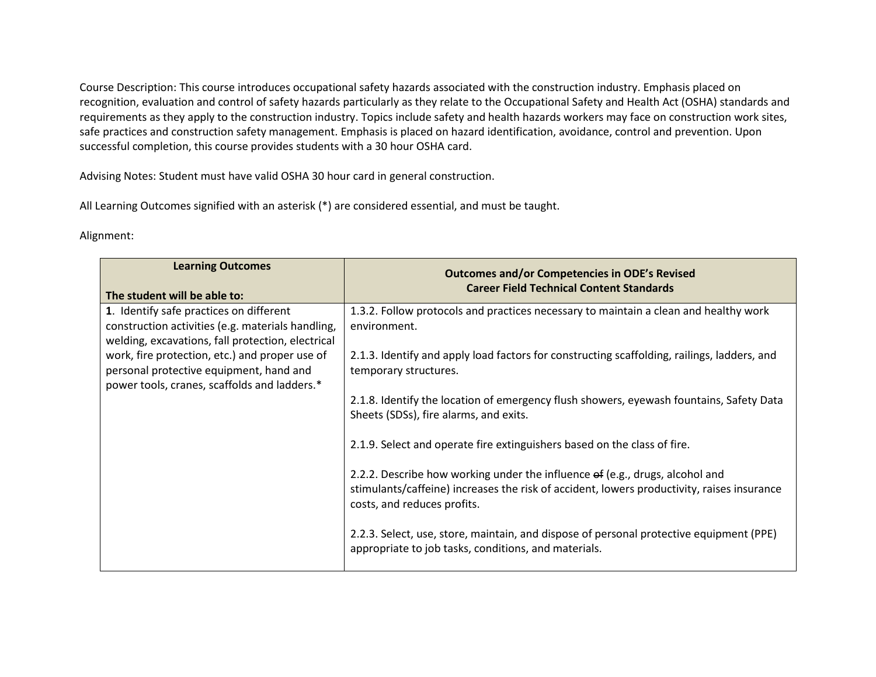Course Description: This course introduces occupational safety hazards associated with the construction industry. Emphasis placed on recognition, evaluation and control of safety hazards particularly as they relate to the Occupational Safety and Health Act (OSHA) standards and requirements as they apply to the construction industry. Topics include safety and health hazards workers may face on construction work sites, safe practices and construction safety management. Emphasis is placed on hazard identification, avoidance, control and prevention. Upon successful completion, this course provides students with a 30 hour OSHA card.

Advising Notes: Student must have valid OSHA 30 hour card in general construction.

All Learning Outcomes signified with an asterisk (\*) are considered essential, and must be taught.

## Alignment:

| <b>Learning Outcomes</b><br>The student will be able to:                                                                                          | <b>Outcomes and/or Competencies in ODE's Revised</b><br><b>Career Field Technical Content Standards</b>                                                                                                   |
|---------------------------------------------------------------------------------------------------------------------------------------------------|-----------------------------------------------------------------------------------------------------------------------------------------------------------------------------------------------------------|
| 1. Identify safe practices on different<br>construction activities (e.g. materials handling,<br>welding, excavations, fall protection, electrical | 1.3.2. Follow protocols and practices necessary to maintain a clean and healthy work<br>environment.                                                                                                      |
| work, fire protection, etc.) and proper use of<br>personal protective equipment, hand and<br>power tools, cranes, scaffolds and ladders.*         | 2.1.3. Identify and apply load factors for constructing scaffolding, railings, ladders, and<br>temporary structures.                                                                                      |
|                                                                                                                                                   | 2.1.8. Identify the location of emergency flush showers, eyewash fountains, Safety Data<br>Sheets (SDSs), fire alarms, and exits.                                                                         |
|                                                                                                                                                   | 2.1.9. Select and operate fire extinguishers based on the class of fire.                                                                                                                                  |
|                                                                                                                                                   | 2.2.2. Describe how working under the influence of (e.g., drugs, alcohol and<br>stimulants/caffeine) increases the risk of accident, lowers productivity, raises insurance<br>costs, and reduces profits. |
|                                                                                                                                                   | 2.2.3. Select, use, store, maintain, and dispose of personal protective equipment (PPE)<br>appropriate to job tasks, conditions, and materials.                                                           |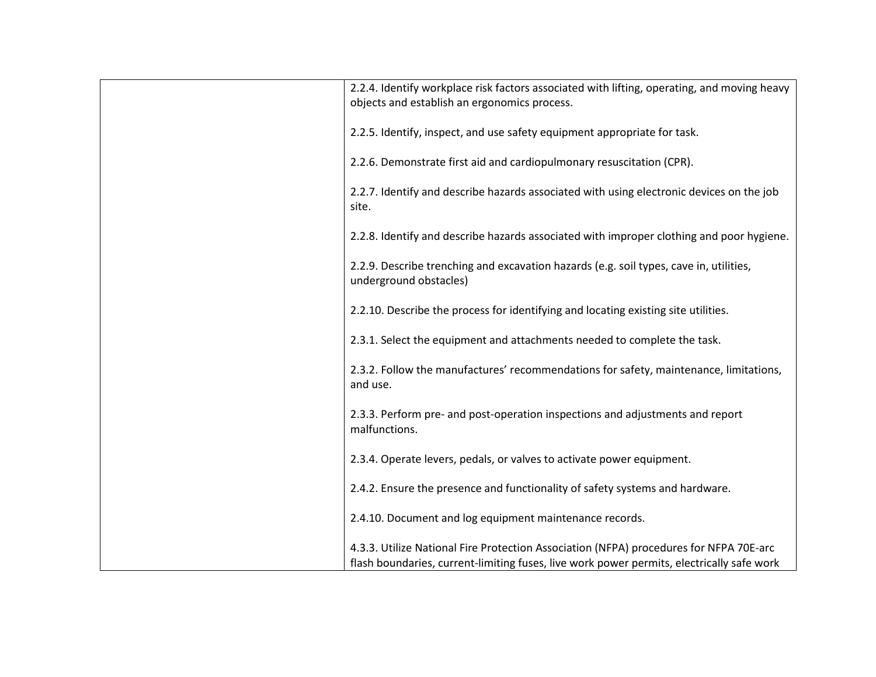| 2.2.4. Identify workplace risk factors associated with lifting, operating, and moving heavy<br>objects and establish an ergonomics process. |
|---------------------------------------------------------------------------------------------------------------------------------------------|
| 2.2.5. Identify, inspect, and use safety equipment appropriate for task.                                                                    |
| 2.2.6. Demonstrate first aid and cardiopulmonary resuscitation (CPR).                                                                       |
| 2.2.7. Identify and describe hazards associated with using electronic devices on the job<br>site.                                           |
| 2.2.8. Identify and describe hazards associated with improper clothing and poor hygiene.                                                    |
| 2.2.9. Describe trenching and excavation hazards (e.g. soil types, cave in, utilities,<br>underground obstacles)                            |
| 2.2.10. Describe the process for identifying and locating existing site utilities.                                                          |
| 2.3.1. Select the equipment and attachments needed to complete the task.                                                                    |
| 2.3.2. Follow the manufactures' recommendations for safety, maintenance, limitations,<br>and use.                                           |
| 2.3.3. Perform pre- and post-operation inspections and adjustments and report<br>malfunctions.                                              |
| 2.3.4. Operate levers, pedals, or valves to activate power equipment.                                                                       |
| 2.4.2. Ensure the presence and functionality of safety systems and hardware.                                                                |
| 2.4.10. Document and log equipment maintenance records.                                                                                     |
| 4.3.3. Utilize National Fire Protection Association (NFPA) procedures for NFPA 70E-arc                                                      |
| flash boundaries, current-limiting fuses, live work power permits, electrically safe work                                                   |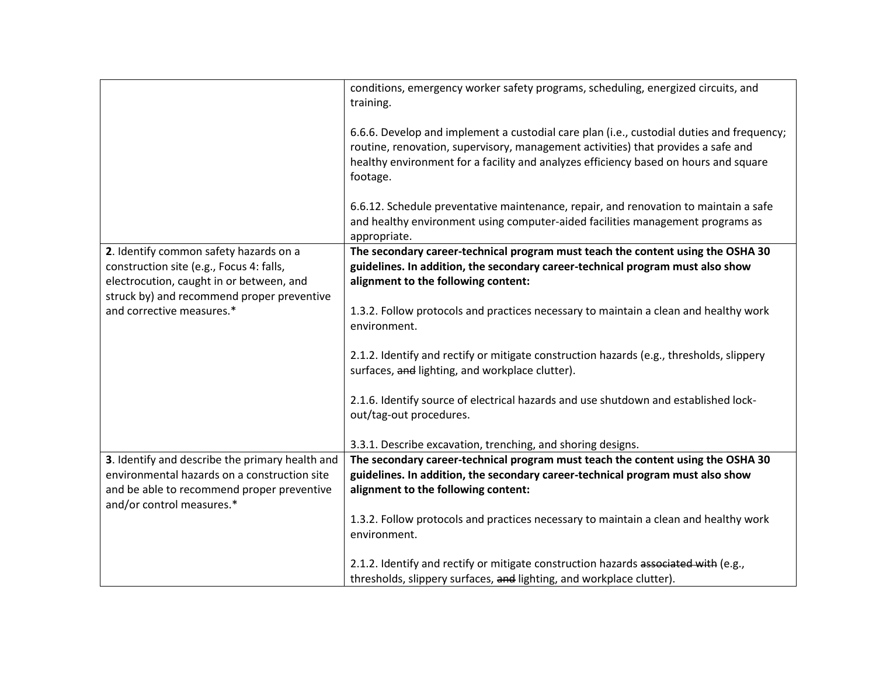|                                                                                                                                                                              | conditions, emergency worker safety programs, scheduling, energized circuits, and<br>training.                                                                                                                                                                                     |
|------------------------------------------------------------------------------------------------------------------------------------------------------------------------------|------------------------------------------------------------------------------------------------------------------------------------------------------------------------------------------------------------------------------------------------------------------------------------|
|                                                                                                                                                                              | 6.6.6. Develop and implement a custodial care plan (i.e., custodial duties and frequency;<br>routine, renovation, supervisory, management activities) that provides a safe and<br>healthy environment for a facility and analyzes efficiency based on hours and square<br>footage. |
|                                                                                                                                                                              | 6.6.12. Schedule preventative maintenance, repair, and renovation to maintain a safe<br>and healthy environment using computer-aided facilities management programs as<br>appropriate.                                                                                             |
| 2. Identify common safety hazards on a<br>construction site (e.g., Focus 4: falls,<br>electrocution, caught in or between, and<br>struck by) and recommend proper preventive | The secondary career-technical program must teach the content using the OSHA 30<br>guidelines. In addition, the secondary career-technical program must also show<br>alignment to the following content:                                                                           |
| and corrective measures.*                                                                                                                                                    | 1.3.2. Follow protocols and practices necessary to maintain a clean and healthy work<br>environment.                                                                                                                                                                               |
|                                                                                                                                                                              | 2.1.2. Identify and rectify or mitigate construction hazards (e.g., thresholds, slippery<br>surfaces, and lighting, and workplace clutter).                                                                                                                                        |
|                                                                                                                                                                              | 2.1.6. Identify source of electrical hazards and use shutdown and established lock-<br>out/tag-out procedures.                                                                                                                                                                     |
|                                                                                                                                                                              | 3.3.1. Describe excavation, trenching, and shoring designs.                                                                                                                                                                                                                        |
| 3. Identify and describe the primary health and                                                                                                                              | The secondary career-technical program must teach the content using the OSHA 30                                                                                                                                                                                                    |
| environmental hazards on a construction site                                                                                                                                 | guidelines. In addition, the secondary career-technical program must also show                                                                                                                                                                                                     |
| and be able to recommend proper preventive<br>and/or control measures.*                                                                                                      | alignment to the following content:                                                                                                                                                                                                                                                |
|                                                                                                                                                                              | 1.3.2. Follow protocols and practices necessary to maintain a clean and healthy work<br>environment.                                                                                                                                                                               |
|                                                                                                                                                                              | 2.1.2. Identify and rectify or mitigate construction hazards associated with (e.g.,                                                                                                                                                                                                |
|                                                                                                                                                                              | thresholds, slippery surfaces, and lighting, and workplace clutter).                                                                                                                                                                                                               |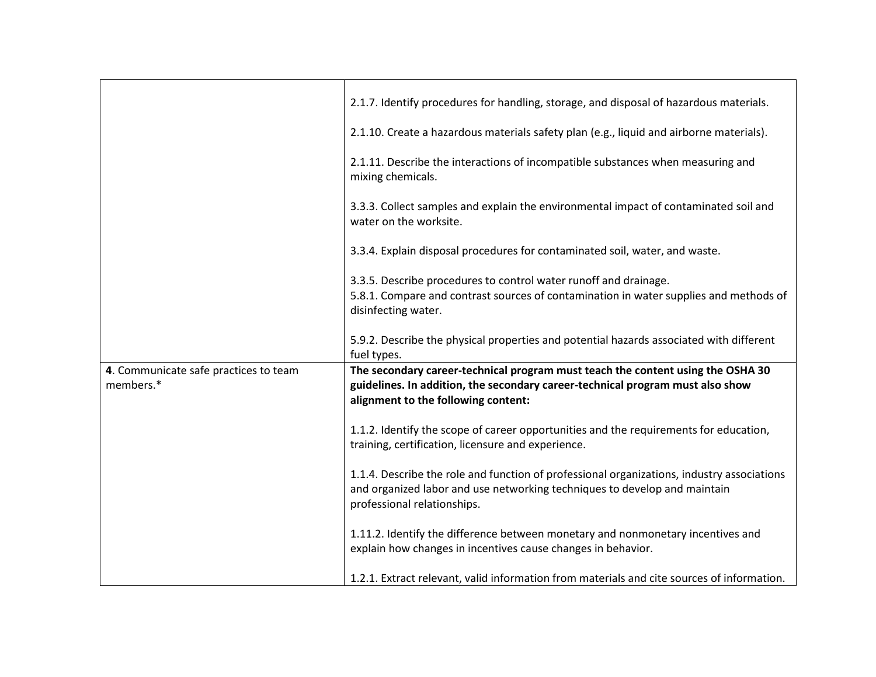|                                       | 2.1.7. Identify procedures for handling, storage, and disposal of hazardous materials.                                                                                                                 |
|---------------------------------------|--------------------------------------------------------------------------------------------------------------------------------------------------------------------------------------------------------|
|                                       | 2.1.10. Create a hazardous materials safety plan (e.g., liquid and airborne materials).                                                                                                                |
|                                       | 2.1.11. Describe the interactions of incompatible substances when measuring and<br>mixing chemicals.                                                                                                   |
|                                       | 3.3.3. Collect samples and explain the environmental impact of contaminated soil and<br>water on the worksite.                                                                                         |
|                                       | 3.3.4. Explain disposal procedures for contaminated soil, water, and waste.                                                                                                                            |
|                                       | 3.3.5. Describe procedures to control water runoff and drainage.                                                                                                                                       |
|                                       | 5.8.1. Compare and contrast sources of contamination in water supplies and methods of                                                                                                                  |
|                                       | disinfecting water.                                                                                                                                                                                    |
|                                       |                                                                                                                                                                                                        |
|                                       | 5.9.2. Describe the physical properties and potential hazards associated with different                                                                                                                |
|                                       | fuel types.                                                                                                                                                                                            |
| 4. Communicate safe practices to team | The secondary career-technical program must teach the content using the OSHA 30                                                                                                                        |
| members.*                             | guidelines. In addition, the secondary career-technical program must also show                                                                                                                         |
|                                       | alignment to the following content:                                                                                                                                                                    |
|                                       | 1.1.2. Identify the scope of career opportunities and the requirements for education,<br>training, certification, licensure and experience.                                                            |
|                                       | 1.1.4. Describe the role and function of professional organizations, industry associations<br>and organized labor and use networking techniques to develop and maintain<br>professional relationships. |
|                                       | 1.11.2. Identify the difference between monetary and nonmonetary incentives and<br>explain how changes in incentives cause changes in behavior.                                                        |
|                                       | 1.2.1. Extract relevant, valid information from materials and cite sources of information.                                                                                                             |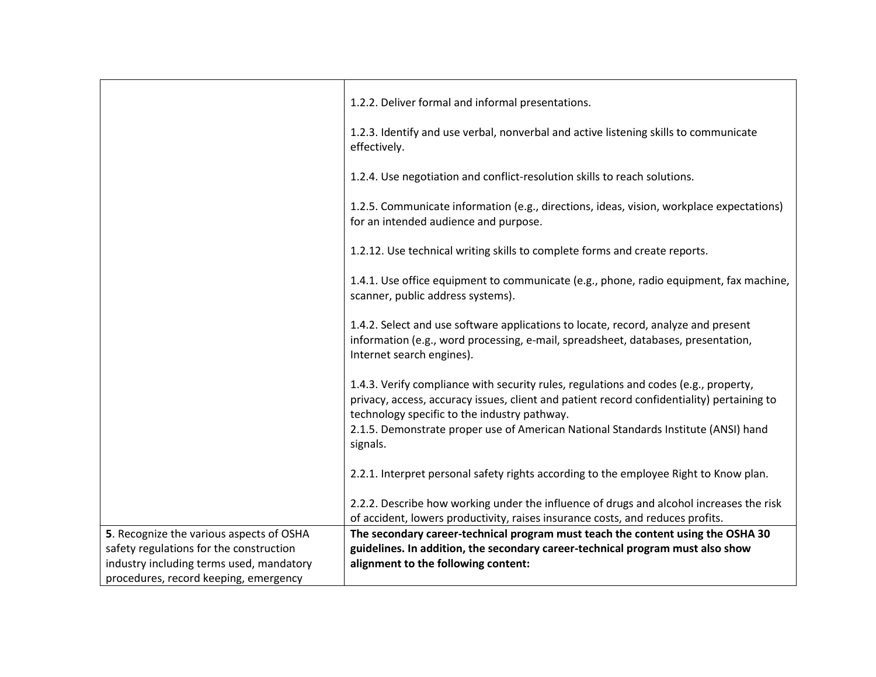| 1.2.2. Deliver formal and informal presentations.                                                                                                                                                                                  |
|------------------------------------------------------------------------------------------------------------------------------------------------------------------------------------------------------------------------------------|
| 1.2.3. Identify and use verbal, nonverbal and active listening skills to communicate<br>effectively.                                                                                                                               |
| 1.2.4. Use negotiation and conflict-resolution skills to reach solutions.                                                                                                                                                          |
| 1.2.5. Communicate information (e.g., directions, ideas, vision, workplace expectations)<br>for an intended audience and purpose.                                                                                                  |
| 1.2.12. Use technical writing skills to complete forms and create reports.                                                                                                                                                         |
| 1.4.1. Use office equipment to communicate (e.g., phone, radio equipment, fax machine,<br>scanner, public address systems).                                                                                                        |
| 1.4.2. Select and use software applications to locate, record, analyze and present<br>information (e.g., word processing, e-mail, spreadsheet, databases, presentation,<br>Internet search engines).                               |
| 1.4.3. Verify compliance with security rules, regulations and codes (e.g., property,<br>privacy, access, accuracy issues, client and patient record confidentiality) pertaining to<br>technology specific to the industry pathway. |
| 2.1.5. Demonstrate proper use of American National Standards Institute (ANSI) hand<br>signals.                                                                                                                                     |
| 2.2.1. Interpret personal safety rights according to the employee Right to Know plan.                                                                                                                                              |
| 2.2.2. Describe how working under the influence of drugs and alcohol increases the risk<br>of accident, lowers productivity, raises insurance costs, and reduces profits.                                                          |
| The secondary career-technical program must teach the content using the OSHA 30                                                                                                                                                    |
| guidelines. In addition, the secondary career-technical program must also show                                                                                                                                                     |
| alignment to the following content:                                                                                                                                                                                                |
|                                                                                                                                                                                                                                    |
|                                                                                                                                                                                                                                    |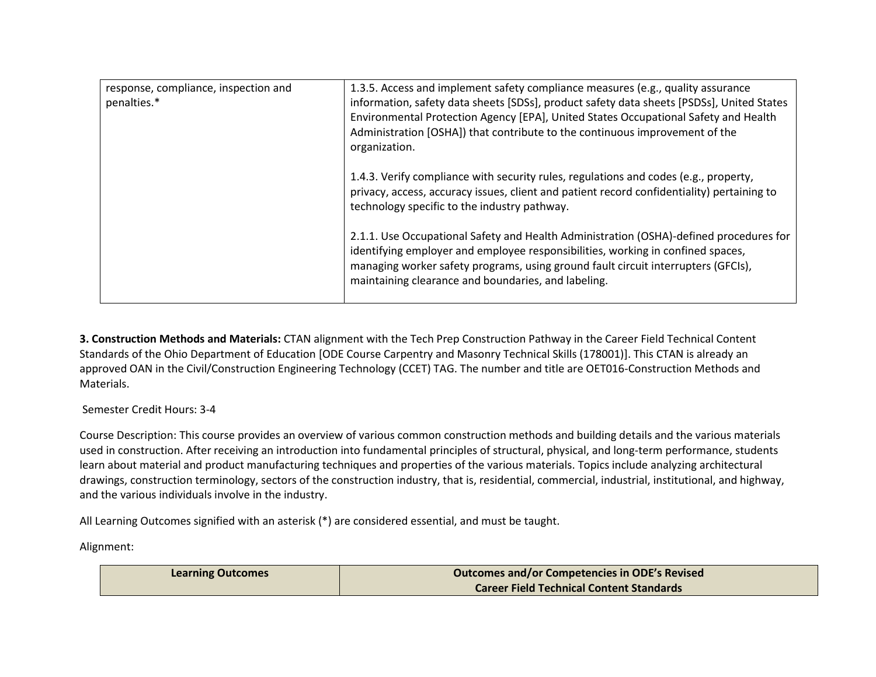| response, compliance, inspection and | 1.3.5. Access and implement safety compliance measures (e.g., quality assurance                                                                                                                                                                                                                                       |
|--------------------------------------|-----------------------------------------------------------------------------------------------------------------------------------------------------------------------------------------------------------------------------------------------------------------------------------------------------------------------|
| penalties.*                          | information, safety data sheets [SDSs], product safety data sheets [PSDSs], United States                                                                                                                                                                                                                             |
|                                      | Environmental Protection Agency [EPA], United States Occupational Safety and Health                                                                                                                                                                                                                                   |
|                                      | Administration [OSHA]) that contribute to the continuous improvement of the<br>organization.                                                                                                                                                                                                                          |
|                                      | 1.4.3. Verify compliance with security rules, regulations and codes (e.g., property,<br>privacy, access, accuracy issues, client and patient record confidentiality) pertaining to<br>technology specific to the industry pathway.                                                                                    |
|                                      | 2.1.1. Use Occupational Safety and Health Administration (OSHA)-defined procedures for<br>identifying employer and employee responsibilities, working in confined spaces,<br>managing worker safety programs, using ground fault circuit interrupters (GFCIs),<br>maintaining clearance and boundaries, and labeling. |

**3. Construction Methods and Materials:** CTAN alignment with the Tech Prep Construction Pathway in the Career Field Technical Content Standards of the Ohio Department of Education [ODE Course Carpentry and Masonry Technical Skills (178001)]. This CTAN is already an approved OAN in the Civil/Construction Engineering Technology (CCET) TAG. The number and title are OET016-Construction Methods and Materials.

Semester Credit Hours: 3-4

Course Description: This course provides an overview of various common construction methods and building details and the various materials used in construction. After receiving an introduction into fundamental principles of structural, physical, and long-term performance, students learn about material and product manufacturing techniques and properties of the various materials. Topics include analyzing architectural drawings, construction terminology, sectors of the construction industry, that is, residential, commercial, industrial, institutional, and highway, and the various individuals involve in the industry.

All Learning Outcomes signified with an asterisk (\*) are considered essential, and must be taught.

Alignment: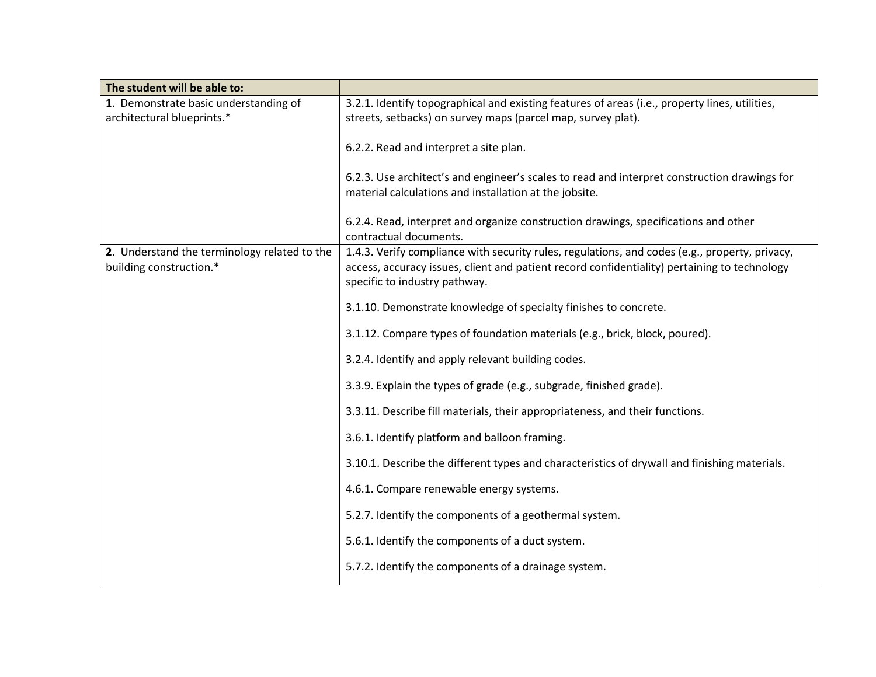| The student will be able to:                 |                                                                                                |
|----------------------------------------------|------------------------------------------------------------------------------------------------|
| 1. Demonstrate basic understanding of        | 3.2.1. Identify topographical and existing features of areas (i.e., property lines, utilities, |
| architectural blueprints.*                   | streets, setbacks) on survey maps (parcel map, survey plat).                                   |
|                                              |                                                                                                |
|                                              | 6.2.2. Read and interpret a site plan.                                                         |
|                                              | 6.2.3. Use architect's and engineer's scales to read and interpret construction drawings for   |
|                                              | material calculations and installation at the jobsite.                                         |
|                                              |                                                                                                |
|                                              | 6.2.4. Read, interpret and organize construction drawings, specifications and other            |
|                                              | contractual documents.                                                                         |
| 2. Understand the terminology related to the | 1.4.3. Verify compliance with security rules, regulations, and codes (e.g., property, privacy, |
| building construction.*                      | access, accuracy issues, client and patient record confidentiality) pertaining to technology   |
|                                              | specific to industry pathway.                                                                  |
|                                              | 3.1.10. Demonstrate knowledge of specialty finishes to concrete.                               |
|                                              |                                                                                                |
|                                              | 3.1.12. Compare types of foundation materials (e.g., brick, block, poured).                    |
|                                              | 3.2.4. Identify and apply relevant building codes.                                             |
|                                              | 3.3.9. Explain the types of grade (e.g., subgrade, finished grade).                            |
|                                              | 3.3.11. Describe fill materials, their appropriateness, and their functions.                   |
|                                              |                                                                                                |
|                                              | 3.6.1. Identify platform and balloon framing.                                                  |
|                                              | 3.10.1. Describe the different types and characteristics of drywall and finishing materials.   |
|                                              | 4.6.1. Compare renewable energy systems.                                                       |
|                                              | 5.2.7. Identify the components of a geothermal system.                                         |
|                                              | 5.6.1. Identify the components of a duct system.                                               |
|                                              |                                                                                                |
|                                              | 5.7.2. Identify the components of a drainage system.                                           |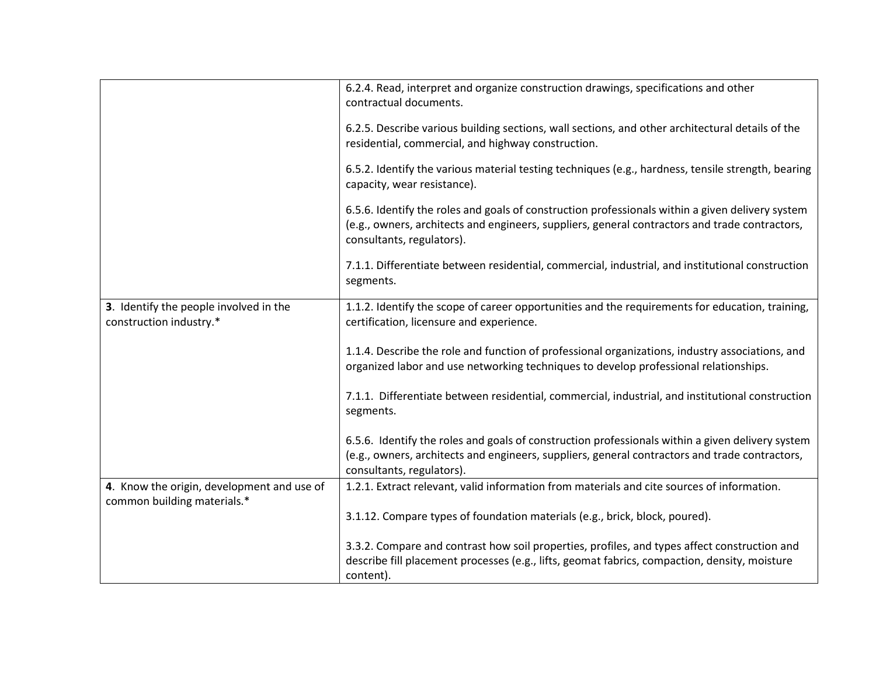|                                                                           | 6.2.4. Read, interpret and organize construction drawings, specifications and other<br>contractual documents.                                                                                                                   |
|---------------------------------------------------------------------------|---------------------------------------------------------------------------------------------------------------------------------------------------------------------------------------------------------------------------------|
|                                                                           |                                                                                                                                                                                                                                 |
|                                                                           | 6.2.5. Describe various building sections, wall sections, and other architectural details of the                                                                                                                                |
|                                                                           | residential, commercial, and highway construction.                                                                                                                                                                              |
|                                                                           | 6.5.2. Identify the various material testing techniques (e.g., hardness, tensile strength, bearing<br>capacity, wear resistance).                                                                                               |
|                                                                           | 6.5.6. Identify the roles and goals of construction professionals within a given delivery system<br>(e.g., owners, architects and engineers, suppliers, general contractors and trade contractors,<br>consultants, regulators). |
|                                                                           | 7.1.1. Differentiate between residential, commercial, industrial, and institutional construction<br>segments.                                                                                                                   |
| 3. Identify the people involved in the<br>construction industry.*         | 1.1.2. Identify the scope of career opportunities and the requirements for education, training,<br>certification, licensure and experience.                                                                                     |
|                                                                           | 1.1.4. Describe the role and function of professional organizations, industry associations, and<br>organized labor and use networking techniques to develop professional relationships.                                         |
|                                                                           | 7.1.1. Differentiate between residential, commercial, industrial, and institutional construction<br>segments.                                                                                                                   |
|                                                                           | 6.5.6. Identify the roles and goals of construction professionals within a given delivery system                                                                                                                                |
|                                                                           | (e.g., owners, architects and engineers, suppliers, general contractors and trade contractors,<br>consultants, regulators).                                                                                                     |
| 4. Know the origin, development and use of<br>common building materials.* | 1.2.1. Extract relevant, valid information from materials and cite sources of information.                                                                                                                                      |
|                                                                           | 3.1.12. Compare types of foundation materials (e.g., brick, block, poured).                                                                                                                                                     |
|                                                                           | 3.3.2. Compare and contrast how soil properties, profiles, and types affect construction and                                                                                                                                    |
|                                                                           | describe fill placement processes (e.g., lifts, geomat fabrics, compaction, density, moisture                                                                                                                                   |
|                                                                           | content).                                                                                                                                                                                                                       |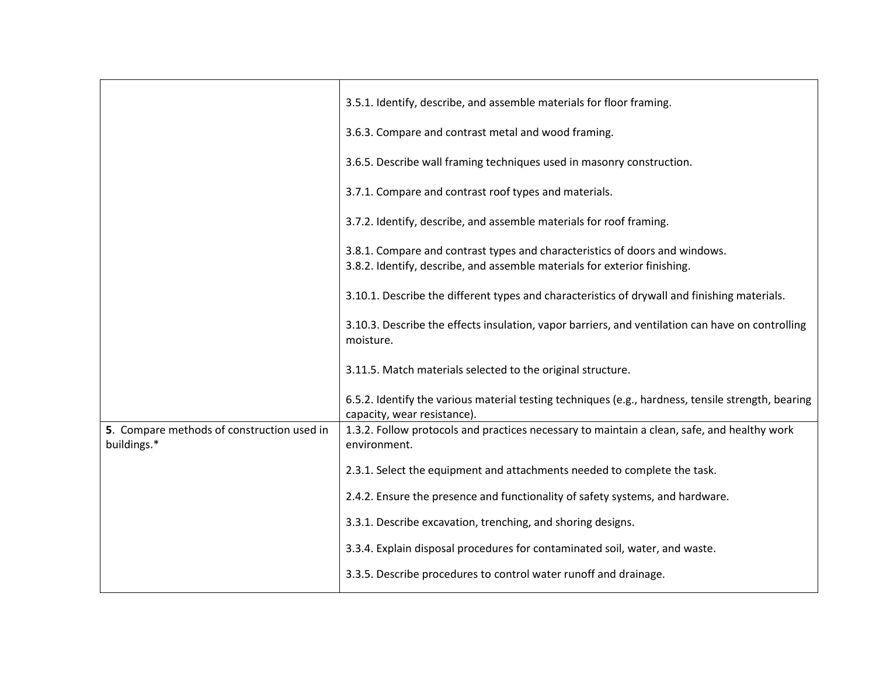|                                                           | 3.5.1. Identify, describe, and assemble materials for floor framing.                                                                                     |
|-----------------------------------------------------------|----------------------------------------------------------------------------------------------------------------------------------------------------------|
|                                                           | 3.6.3. Compare and contrast metal and wood framing.                                                                                                      |
|                                                           | 3.6.5. Describe wall framing techniques used in masonry construction.                                                                                    |
|                                                           | 3.7.1. Compare and contrast roof types and materials.                                                                                                    |
|                                                           | 3.7.2. Identify, describe, and assemble materials for roof framing.                                                                                      |
|                                                           | 3.8.1. Compare and contrast types and characteristics of doors and windows.<br>3.8.2. Identify, describe, and assemble materials for exterior finishing. |
|                                                           | 3.10.1. Describe the different types and characteristics of drywall and finishing materials.                                                             |
|                                                           | 3.10.3. Describe the effects insulation, vapor barriers, and ventilation can have on controlling<br>moisture.                                            |
|                                                           | 3.11.5. Match materials selected to the original structure.                                                                                              |
|                                                           | 6.5.2. Identify the various material testing techniques (e.g., hardness, tensile strength, bearing<br>capacity, wear resistance).                        |
| 5. Compare methods of construction used in<br>buildings.* | 1.3.2. Follow protocols and practices necessary to maintain a clean, safe, and healthy work<br>environment.                                              |
|                                                           | 2.3.1. Select the equipment and attachments needed to complete the task.                                                                                 |
|                                                           | 2.4.2. Ensure the presence and functionality of safety systems, and hardware.                                                                            |
|                                                           | 3.3.1. Describe excavation, trenching, and shoring designs.                                                                                              |
|                                                           | 3.3.4. Explain disposal procedures for contaminated soil, water, and waste.                                                                              |
|                                                           | 3.3.5. Describe procedures to control water runoff and drainage.                                                                                         |